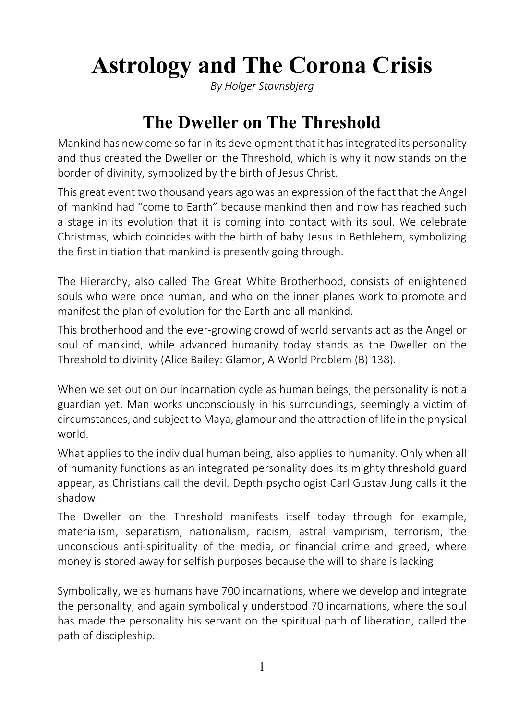# **Astrology and The Corona Crisis**

*By Holger Stavnsbjerg*

# **The Dweller on The Threshold**

Mankind has now come so far in its development that it has integrated its personality and thus created the Dweller on the Threshold, which is why it now stands on the border of divinity, symbolized by the birth of Jesus Christ.

This great event two thousand years ago was an expression of the fact that the Angel of mankind had "come to Earth" because mankind then and now has reached such a stage in its evolution that it is coming into contact with its soul. We celebrate Christmas, which coincides with the birth of baby Jesus in Bethlehem, symbolizing the first initiation that mankind is presently going through.

The Hierarchy, also called The Great White Brotherhood, consists of enlightened souls who were once human, and who on the inner planes work to promote and manifest the plan of evolution for the Earth and all mankind.

This brotherhood and the ever-growing crowd of world servants act as the Angel or soul of mankind, while advanced humanity today stands as the Dweller on the Threshold to divinity (Alice Bailey: Glamor, A World Problem (B) 138).

When we set out on our incarnation cycle as human beings, the personality is not a guardian yet. Man works unconsciously in his surroundings, seemingly a victim of circumstances, and subject to Maya, glamour and the attraction of life in the physical world.

What applies to the individual human being, also applies to humanity. Only when all of humanity functions as an integrated personality does its mighty threshold guard appear, as Christians call the devil. Depth psychologist Carl Gustav Jung calls it the shadow.

The Dweller on the Threshold manifests itself today through for example, materialism, separatism, nationalism, racism, astral vampirism, terrorism, the unconscious anti-spirituality of the media, or financial crime and greed, where money is stored away for selfish purposes because the will to share is lacking.

Symbolically, we as humans have 700 incarnations, where we develop and integrate the personality, and again symbolically understood 70 incarnations, where the soul has made the personality his servant on the spiritual path of liberation, called the path of discipleship.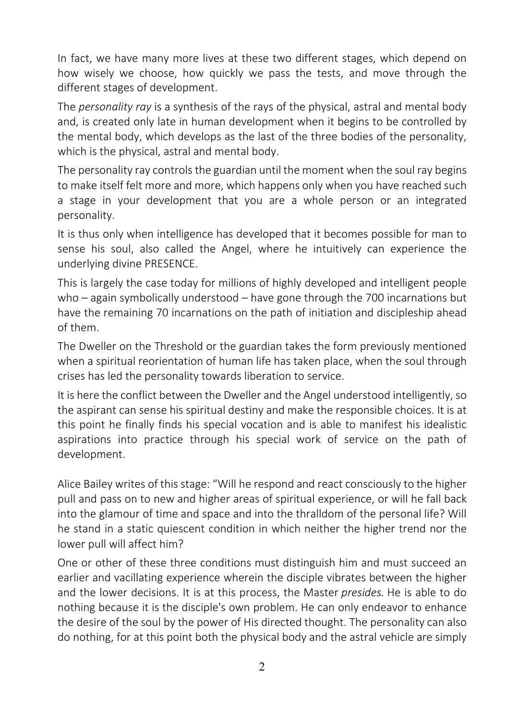In fact, we have many more lives at these two different stages, which depend on how wisely we choose, how quickly we pass the tests, and move through the different stages of development.

The *personality ray* is a synthesis of the rays of the physical, astral and mental body and, is created only late in human development when it begins to be controlled by the mental body, which develops as the last of the three bodies of the personality, which is the physical, astral and mental body.

The personality ray controls the guardian until the moment when the soul ray begins to make itself felt more and more, which happens only when you have reached such a stage in your development that you are a whole person or an integrated personality.

It is thus only when intelligence has developed that it becomes possible for man to sense his soul, also called the Angel, where he intuitively can experience the underlying divine PRESENCE.

This is largely the case today for millions of highly developed and intelligent people who – again symbolically understood – have gone through the 700 incarnations but have the remaining 70 incarnations on the path of initiation and discipleship ahead of them.

The Dweller on the Threshold or the guardian takes the form previously mentioned when a spiritual reorientation of human life has taken place, when the soul through crises has led the personality towards liberation to service.

It is here the conflict between the Dweller and the Angel understood intelligently, so the aspirant can sense his spiritual destiny and make the responsible choices. It is at this point he finally finds his special vocation and is able to manifest his idealistic aspirations into practice through his special work of service on the path of development.

Alice Bailey writes of this stage: "Will he respond and react consciously to the higher pull and pass on to new and higher areas of spiritual experience, or will he fall back into the glamour of time and space and into the thralldom of the personal life? Will he stand in a static quiescent condition in which neither the higher trend nor the lower pull will affect him?

One or other of these three conditions must distinguish him and must succeed an earlier and vacillating experience wherein the disciple vibrates between the higher and the lower decisions. It is at this process, the Master *presides.* He is able to do nothing because it is the disciple's own problem. He can only endeavor to enhance the desire of the soul by the power of His directed thought. The personality can also do nothing, for at this point both the physical body and the astral vehicle are simply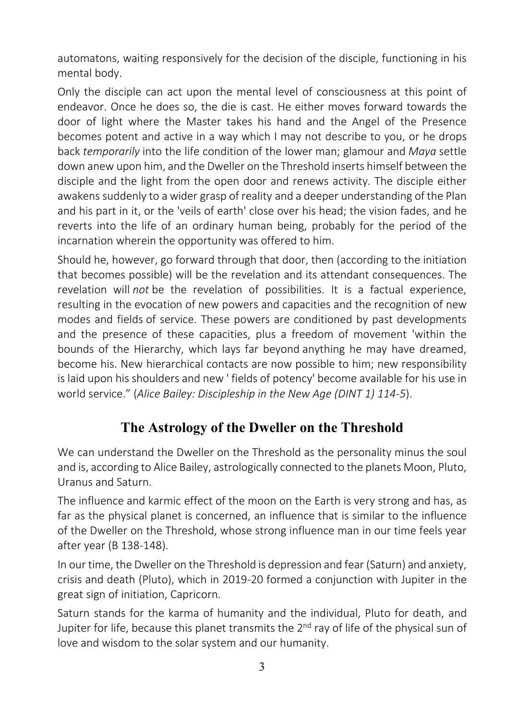automatons, waiting responsively for the decision of the disciple, functioning in his mental body.

Only the disciple can act upon the mental level of consciousness at this point of endeavor. Once he does so, the die is cast. He either moves forward towards the door of light where the Master takes his hand and the Angel of the Presence becomes potent and active in a way which I may not describe to you, or he drops back *temporarily* into the life condition of the lower man; glamour and *Maya* settle down anew upon him, and the Dweller on the Threshold inserts himself between the disciple and the light from the open door and renews activity. The disciple either awakens suddenly to a wider grasp of reality and a deeper understanding of the Plan and his part in it, or the 'veils of earth' close over his head; the vision fades, and he reverts into the life of an ordinary human being, probably for the period of the incarnation wherein the opportunity was offered to him.

Should he, however, go forward through that door, then (according to the initiation that becomes possible) will be the revelation and its attendant consequences. The revelation will *not* be the revelation of possibilities. It is a factual experience, resulting in the evocation of new powers and capacities and the recognition of new modes and fields of service. These powers are conditioned by past developments and the presence of these capacities, plus a freedom of movement 'within the bounds of the Hierarchy, which lays far beyond anything he may have dreamed, become his. New hierarchical contacts are now possible to him; new responsibility is laid upon his shoulders and new ' fields of potency' become available for his use in world service." (*Alice Bailey: Discipleship in the New Age (DINT 1) 114-5*).

#### **The Astrology of the Dweller on the Threshold**

We can understand the Dweller on the Threshold as the personality minus the soul and is, according to Alice Bailey, astrologically connected to the planets Moon, Pluto, Uranus and Saturn.

The influence and karmic effect of the moon on the Earth is very strong and has, as far as the physical planet is concerned, an influence that is similar to the influence of the Dweller on the Threshold, whose strong influence man in our time feels year after year (B 138-148).

In our time, the Dweller on the Threshold is depression and fear (Saturn) and anxiety, crisis and death (Pluto), which in 2019-20 formed a conjunction with Jupiter in the great sign of initiation, Capricorn.

Saturn stands for the karma of humanity and the individual, Pluto for death, and Jupiter for life, because this planet transmits the  $2<sup>nd</sup>$  ray of life of the physical sun of love and wisdom to the solar system and our humanity.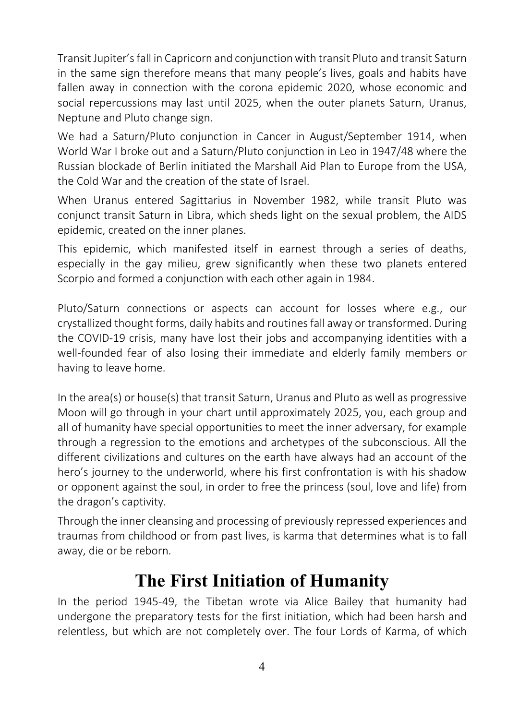Transit Jupiter's fall in Capricorn and conjunction with transit Pluto and transit Saturn in the same sign therefore means that many people's lives, goals and habits have fallen away in connection with the corona epidemic 2020, whose economic and social repercussions may last until 2025, when the outer planets Saturn, Uranus, Neptune and Pluto change sign.

We had a Saturn/Pluto conjunction in Cancer in August/September 1914, when World War I broke out and a Saturn/Pluto conjunction in Leo in 1947/48 where the Russian blockade of Berlin initiated the Marshall Aid Plan to Europe from the USA, the Cold War and the creation of the state of Israel.

When Uranus entered Sagittarius in November 1982, while transit Pluto was conjunct transit Saturn in Libra, which sheds light on the sexual problem, the AIDS epidemic, created on the inner planes.

This epidemic, which manifested itself in earnest through a series of deaths, especially in the gay milieu, grew significantly when these two planets entered Scorpio and formed a conjunction with each other again in 1984.

Pluto/Saturn connections or aspects can account for losses where e.g., our crystallized thought forms, daily habits and routines fall away or transformed. During the COVID-19 crisis, many have lost their jobs and accompanying identities with a well-founded fear of also losing their immediate and elderly family members or having to leave home.

In the area(s) or house(s) that transit Saturn, Uranus and Pluto as well as progressive Moon will go through in your chart until approximately 2025, you, each group and all of humanity have special opportunities to meet the inner adversary, for example through a regression to the emotions and archetypes of the subconscious. All the different civilizations and cultures on the earth have always had an account of the hero's journey to the underworld, where his first confrontation is with his shadow or opponent against the soul, in order to free the princess (soul, love and life) from the dragon's captivity.

Through the inner cleansing and processing of previously repressed experiences and traumas from childhood or from past lives, is karma that determines what is to fall away, die or be reborn.

# **The First Initiation of Humanity**

In the period 1945-49, the Tibetan wrote via Alice Bailey that humanity had undergone the preparatory tests for the first initiation, which had been harsh and relentless, but which are not completely over. The four Lords of Karma, of which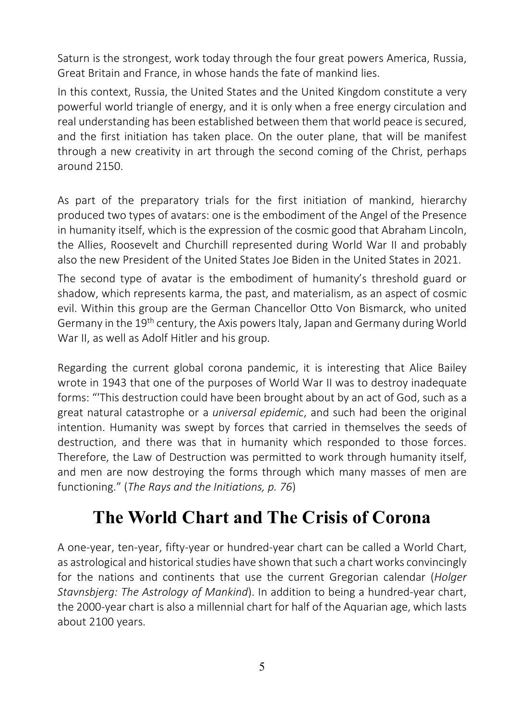Saturn is the strongest, work today through the four great powers America, Russia, Great Britain and France, in whose hands the fate of mankind lies.

In this context, Russia, the United States and the United Kingdom constitute a very powerful world triangle of energy, and it is only when a free energy circulation and real understanding has been established between them that world peace is secured, and the first initiation has taken place. On the outer plane, that will be manifest through a new creativity in art through the second coming of the Christ, perhaps around 2150.

As part of the preparatory trials for the first initiation of mankind, hierarchy produced two types of avatars: one is the embodiment of the Angel of the Presence in humanity itself, which is the expression of the cosmic good that Abraham Lincoln, the Allies, Roosevelt and Churchill represented during World War II and probably also the new President of the United States Joe Biden in the United States in 2021.

The second type of avatar is the embodiment of humanity's threshold guard or shadow, which represents karma, the past, and materialism, as an aspect of cosmic evil. Within this group are the German Chancellor Otto Von Bismarck, who united Germany in the 19th century, the Axis powers Italy, Japan and Germany during World War II, as well as Adolf Hitler and his group.

Regarding the current global corona pandemic, it is interesting that Alice Bailey wrote in 1943 that one of the purposes of World War II was to destroy inadequate forms: "'This destruction could have been brought about by an act of God, such as a great natural catastrophe or a *universal epidemic*, and such had been the original intention. Humanity was swept by forces that carried in themselves the seeds of destruction, and there was that in humanity which responded to those forces. Therefore, the Law of Destruction was permitted to work through humanity itself, and men are now destroying the forms through which many masses of men are functioning." (*The Rays and the Initiations, p. 76*)

### **The World Chart and The Crisis of Corona**

A one-year, ten-year, fifty-year or hundred-year chart can be called a World Chart, as astrological and historical studies have shown that such a chart works convincingly for the nations and continents that use the current Gregorian calendar (*Holger Stavnsbjerg: The Astrology of Mankind*). In addition to being a hundred-year chart, the 2000-year chart is also a millennial chart for half of the Aquarian age, which lasts about 2100 years.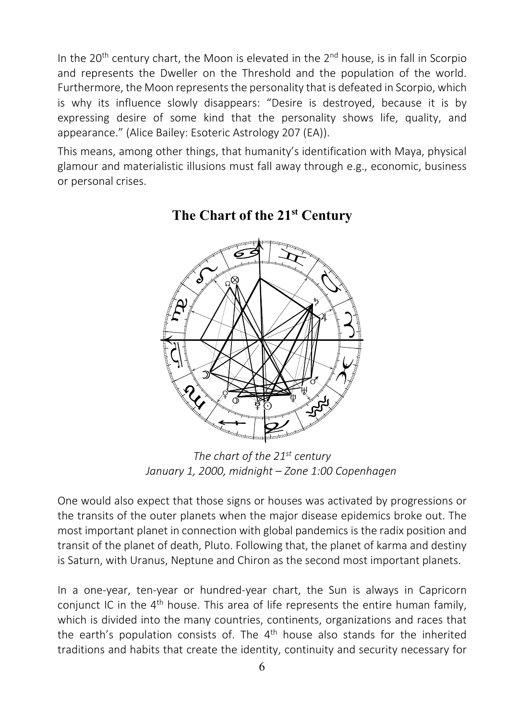In the 20<sup>th</sup> century chart, the Moon is elevated in the  $2<sup>nd</sup>$  house, is in fall in Scorpio and represents the Dweller on the Threshold and the population of the world. Furthermore, the Moon represents the personality that is defeated in Scorpio, which is why its influence slowly disappears: "Desire is destroyed, because it is by expressing desire of some kind that the personality shows life, quality, and appearance." (Alice Bailey: Esoteric Astrology 207 (EA)).

This means, among other things, that humanity's identification with Maya, physical glamour and materialistic illusions must fall away through e.g., economic, business or personal crises.



**The Chart of the 21st Century**

*The chart of the 21st century January 1, 2000, midnight – Zone 1:00 Copenhagen*

One would also expect that those signs or houses was activated by progressions or the transits of the outer planets when the major disease epidemics broke out. The most important planet in connection with global pandemics is the radix position and transit of the planet of death, Pluto. Following that, the planet of karma and destiny is Saturn, with Uranus, Neptune and Chiron as the second most important planets.

In a one-year, ten-year or hundred-year chart, the Sun is always in Capricorn conjunct IC in the 4th house. This area of life represents the entire human family, which is divided into the many countries, continents, organizations and races that the earth's population consists of. The  $4<sup>th</sup>$  house also stands for the inherited traditions and habits that create the identity, continuity and security necessary for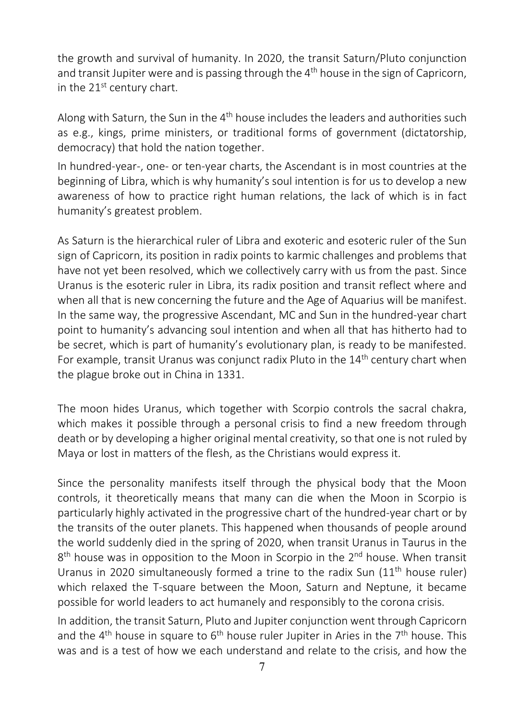the growth and survival of humanity. In 2020, the transit Saturn/Pluto conjunction and transit Jupiter were and is passing through the 4<sup>th</sup> house in the sign of Capricorn, in the  $21^{st}$  century chart.

Along with Saturn, the Sun in the 4<sup>th</sup> house includes the leaders and authorities such as e.g., kings, prime ministers, or traditional forms of government (dictatorship, democracy) that hold the nation together.

In hundred-year-, one- or ten-year charts, the Ascendant is in most countries at the beginning of Libra, which is why humanity's soul intention is for us to develop a new awareness of how to practice right human relations, the lack of which is in fact humanity's greatest problem.

As Saturn is the hierarchical ruler of Libra and exoteric and esoteric ruler of the Sun sign of Capricorn, its position in radix points to karmic challenges and problems that have not yet been resolved, which we collectively carry with us from the past. Since Uranus is the esoteric ruler in Libra, its radix position and transit reflect where and when all that is new concerning the future and the Age of Aquarius will be manifest. In the same way, the progressive Ascendant, MC and Sun in the hundred-year chart point to humanity's advancing soul intention and when all that has hitherto had to be secret, which is part of humanity's evolutionary plan, is ready to be manifested. For example, transit Uranus was conjunct radix Pluto in the 14<sup>th</sup> century chart when the plague broke out in China in 1331.

The moon hides Uranus, which together with Scorpio controls the sacral chakra, which makes it possible through a personal crisis to find a new freedom through death or by developing a higher original mental creativity, so that one is not ruled by Maya or lost in matters of the flesh, as the Christians would express it.

Since the personality manifests itself through the physical body that the Moon controls, it theoretically means that many can die when the Moon in Scorpio is particularly highly activated in the progressive chart of the hundred-year chart or by the transits of the outer planets. This happened when thousands of people around the world suddenly died in the spring of 2020, when transit Uranus in Taurus in the 8<sup>th</sup> house was in opposition to the Moon in Scorpio in the 2<sup>nd</sup> house. When transit Uranus in 2020 simultaneously formed a trine to the radix Sun  $(11<sup>th</sup>$  house ruler) which relaxed the T-square between the Moon, Saturn and Neptune, it became possible for world leaders to act humanely and responsibly to the corona crisis.

In addition, the transit Saturn, Pluto and Jupiter conjunction went through Capricorn and the  $4<sup>th</sup>$  house in square to  $6<sup>th</sup>$  house ruler Jupiter in Aries in the  $7<sup>th</sup>$  house. This was and is a test of how we each understand and relate to the crisis, and how the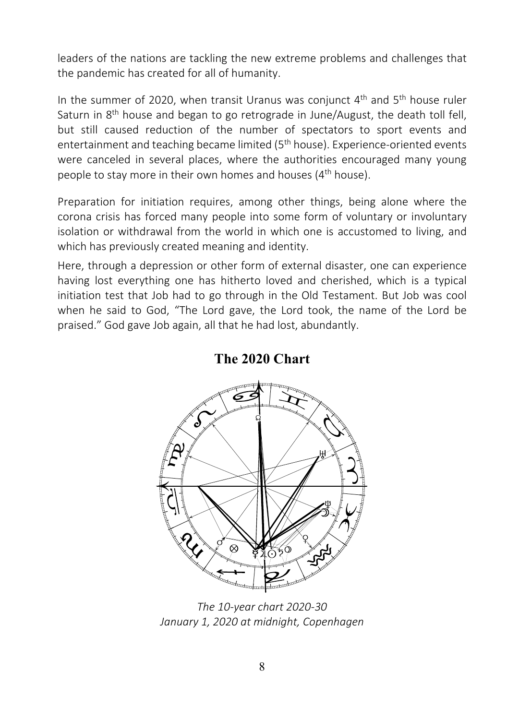leaders of the nations are tackling the new extreme problems and challenges that the pandemic has created for all of humanity.

In the summer of 2020, when transit Uranus was conjunct  $4<sup>th</sup>$  and  $5<sup>th</sup>$  house ruler Saturn in  $8<sup>th</sup>$  house and began to go retrograde in June/August, the death toll fell, but still caused reduction of the number of spectators to sport events and entertainment and teaching became limited (5<sup>th</sup> house). Experience-oriented events were canceled in several places, where the authorities encouraged many young people to stay more in their own homes and houses (4<sup>th</sup> house).

Preparation for initiation requires, among other things, being alone where the corona crisis has forced many people into some form of voluntary or involuntary isolation or withdrawal from the world in which one is accustomed to living, and which has previously created meaning and identity.

Here, through a depression or other form of external disaster, one can experience having lost everything one has hitherto loved and cherished, which is a typical initiation test that Job had to go through in the Old Testament. But Job was cool when he said to God, "The Lord gave, the Lord took, the name of the Lord be praised." God gave Job again, all that he had lost, abundantly.



**The 2020 Chart**

*The 10-year chart 2020-30 January 1, 2020 at midnight, Copenhagen*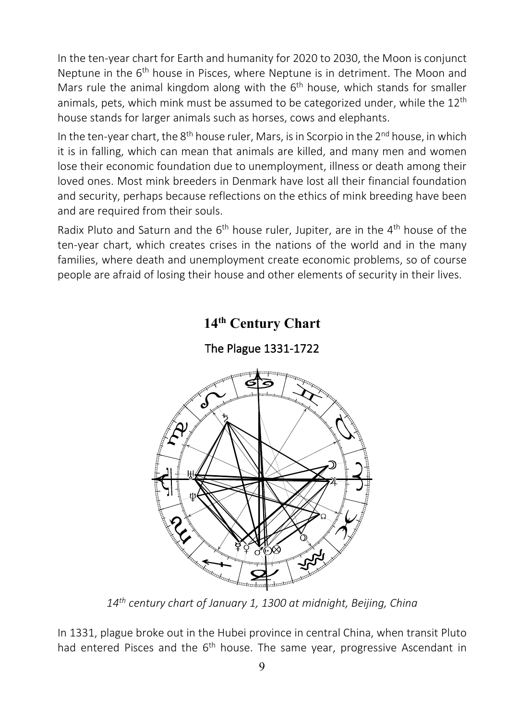In the ten-year chart for Earth and humanity for 2020 to 2030, the Moon is conjunct Neptune in the 6<sup>th</sup> house in Pisces, where Neptune is in detriment. The Moon and Mars rule the animal kingdom along with the  $6<sup>th</sup>$  house, which stands for smaller animals, pets, which mink must be assumed to be categorized under, while the  $12<sup>th</sup>$ house stands for larger animals such as horses, cows and elephants.

In the ten-year chart, the  $8<sup>th</sup>$  house ruler, Mars, is in Scorpio in the  $2<sup>nd</sup>$  house, in which it is in falling, which can mean that animals are killed, and many men and women lose their economic foundation due to unemployment, illness or death among their loved ones. Most mink breeders in Denmark have lost all their financial foundation and security, perhaps because reflections on the ethics of mink breeding have been and are required from their souls.

Radix Pluto and Saturn and the  $6<sup>th</sup>$  house ruler, Jupiter, are in the  $4<sup>th</sup>$  house of the ten-year chart, which creates crises in the nations of the world and in the many families, where death and unemployment create economic problems, so of course people are afraid of losing their house and other elements of security in their lives.

**14th Century Chart**



*14th century chart of January 1, 1300 at midnight, Beijing, China*

In 1331, plague broke out in the Hubei province in central China, when transit Pluto had entered Pisces and the 6<sup>th</sup> house. The same year, progressive Ascendant in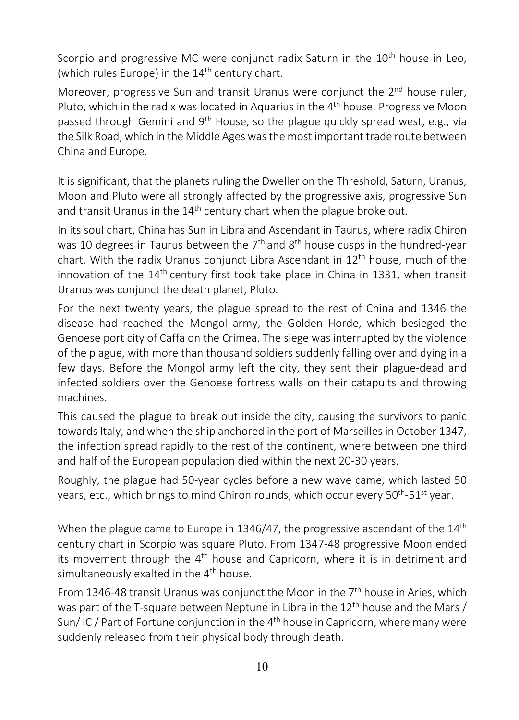Scorpio and progressive MC were conjunct radix Saturn in the  $10<sup>th</sup>$  house in Leo, (which rules Europe) in the  $14<sup>th</sup>$  century chart.

Moreover, progressive Sun and transit Uranus were conjunct the 2<sup>nd</sup> house ruler. Pluto, which in the radix was located in Aquarius in the 4<sup>th</sup> house. Progressive Moon passed through Gemini and 9<sup>th</sup> House, so the plague quickly spread west, e.g., via the Silk Road, which in the Middle Ages was the most important trade route between China and Europe.

It is significant, that the planets ruling the Dweller on the Threshold, Saturn, Uranus, Moon and Pluto were all strongly affected by the progressive axis, progressive Sun and transit Uranus in the  $14<sup>th</sup>$  century chart when the plague broke out.

In its soul chart, China has Sun in Libra and Ascendant in Taurus, where radix Chiron was 10 degrees in Taurus between the 7<sup>th</sup> and 8<sup>th</sup> house cusps in the hundred-vear chart. With the radix Uranus conjunct Libra Ascendant in  $12<sup>th</sup>$  house, much of the innovation of the 14<sup>th</sup> century first took take place in China in 1331, when transit Uranus was conjunct the death planet, Pluto.

For the next twenty years, the plague spread to the rest of China and 1346 the disease had reached the Mongol army, the Golden Horde, which besieged the Genoese port city of Caffa on the Crimea. The siege was interrupted by the violence of the plague, with more than thousand soldiers suddenly falling over and dying in a few days. Before the Mongol army left the city, they sent their plague-dead and infected soldiers over the Genoese fortress walls on their catapults and throwing machines.

This caused the plague to break out inside the city, causing the survivors to panic towards Italy, and when the ship anchored in the port of Marseilles in October 1347, the infection spread rapidly to the rest of the continent, where between one third and half of the European population died within the next 20-30 years.

Roughly, the plague had 50-year cycles before a new wave came, which lasted 50 years, etc., which brings to mind Chiron rounds, which occur every  $50^{th}$ - $51^{st}$  year.

When the plague came to Europe in 1346/47, the progressive ascendant of the  $14<sup>th</sup>$ century chart in Scorpio was square Pluto. From 1347-48 progressive Moon ended its movement through the  $4<sup>th</sup>$  house and Capricorn, where it is in detriment and simultaneously exalted in the  $4<sup>th</sup>$  house.

From 1346-48 transit Uranus was conjunct the Moon in the  $7<sup>th</sup>$  house in Aries, which was part of the T-square between Neptune in Libra in the  $12<sup>th</sup>$  house and the Mars / Sun/ IC/Part of Fortune conjunction in the  $4<sup>th</sup>$  house in Capricorn, where many were suddenly released from their physical body through death.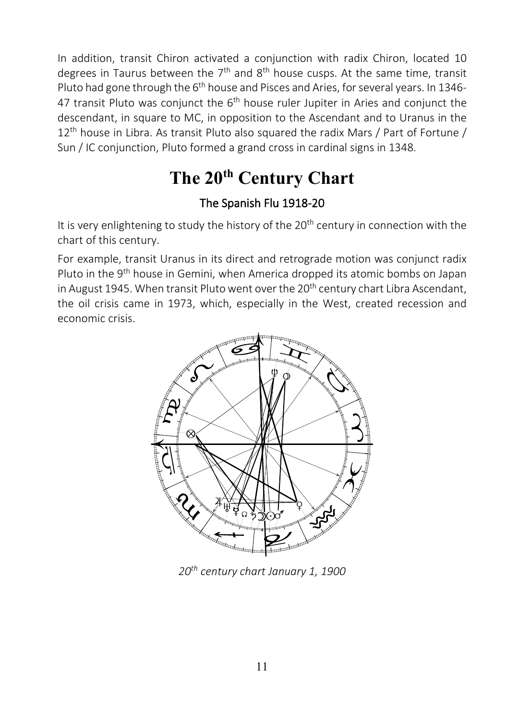In addition, transit Chiron activated a conjunction with radix Chiron, located 10 degrees in Taurus between the  $7<sup>th</sup>$  and  $8<sup>th</sup>$  house cusps. At the same time, transit Pluto had gone through the 6<sup>th</sup> house and Pisces and Aries, for several years. In 1346-47 transit Pluto was conjunct the  $6<sup>th</sup>$  house ruler Jupiter in Aries and conjunct the descendant, in square to MC, in opposition to the Ascendant and to Uranus in the 12<sup>th</sup> house in Libra. As transit Pluto also squared the radix Mars / Part of Fortune / Sun / IC conjunction, Pluto formed a grand cross in cardinal signs in 1348.

## **The 20th Century Chart**

#### The Spanish Flu 1918-20

It is very enlightening to study the history of the 20<sup>th</sup> century in connection with the chart of this century.

For example, transit Uranus in its direct and retrograde motion was conjunct radix Pluto in the 9<sup>th</sup> house in Gemini, when America dropped its atomic bombs on Japan in August 1945. When transit Pluto went over the 20<sup>th</sup> century chart Libra Ascendant, the oil crisis came in 1973, which, especially in the West, created recession and economic crisis.



*20th century chart January 1, 1900*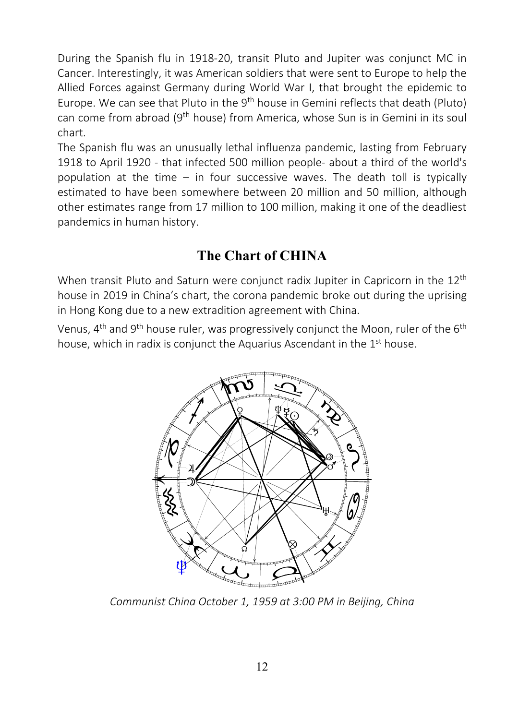During the Spanish flu in 1918-20, transit Pluto and Jupiter was conjunct MC in Cancer. Interestingly, it was American soldiers that were sent to Europe to help the Allied Forces against Germany during World War I, that brought the epidemic to Europe. We can see that Pluto in the 9<sup>th</sup> house in Gemini reflects that death (Pluto) can come from abroad (9<sup>th</sup> house) from America, whose Sun is in Gemini in its soul chart.

The Spanish flu was an unusually lethal influenza pandemic, lasting from February 1918 to April 1920 - that infected 500 million people- about a third of the world's population at the time – in four successive waves. The death toll is typically estimated to have been somewhere between 20 million and 50 million, although other estimates range from 17 million to 100 million, making it one of the deadliest pandemics in human history.

### **The Chart of CHINA**

When transit Pluto and Saturn were conjunct radix Jupiter in Capricorn in the 12<sup>th</sup> house in 2019 in China's chart, the corona pandemic broke out during the uprising in Hong Kong due to a new extradition agreement with China.

Venus,  $4<sup>th</sup>$  and  $9<sup>th</sup>$  house ruler, was progressively conjunct the Moon, ruler of the  $6<sup>th</sup>$ house, which in radix is conjunct the Aquarius Ascendant in the 1<sup>st</sup> house.



*Communist China October 1, 1959 at 3:00 PM in Beijing, China*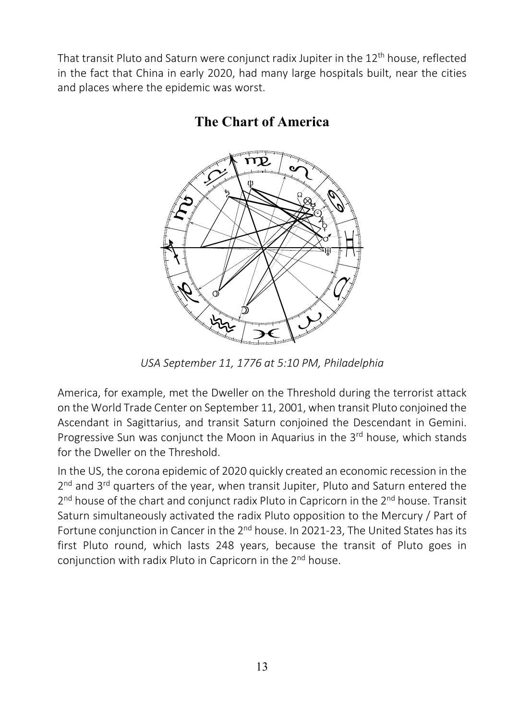That transit Pluto and Saturn were conjunct radix Jupiter in the  $12<sup>th</sup>$  house, reflected in the fact that China in early 2020, had many large hospitals built, near the cities and places where the epidemic was worst.



#### **The Chart of America**

*USA September 11, 1776 at 5:10 PM, Philadelphia*

America, for example, met the Dweller on the Threshold during the terrorist attack on the World Trade Center on September 11, 2001, when transit Pluto conjoined the Ascendant in Sagittarius, and transit Saturn conjoined the Descendant in Gemini. Progressive Sun was conjunct the Moon in Aquarius in the 3rd house, which stands for the Dweller on the Threshold.

In the US, the corona epidemic of 2020 quickly created an economic recession in the 2<sup>nd</sup> and 3<sup>rd</sup> quarters of the year, when transit Jupiter, Pluto and Saturn entered the  $2<sup>nd</sup>$  house of the chart and conjunct radix Pluto in Capricorn in the  $2<sup>nd</sup>$  house. Transit Saturn simultaneously activated the radix Pluto opposition to the Mercury / Part of Fortune conjunction in Cancer in the 2<sup>nd</sup> house. In 2021-23, The United States has its first Pluto round, which lasts 248 years, because the transit of Pluto goes in conjunction with radix Pluto in Capricorn in the 2<sup>nd</sup> house.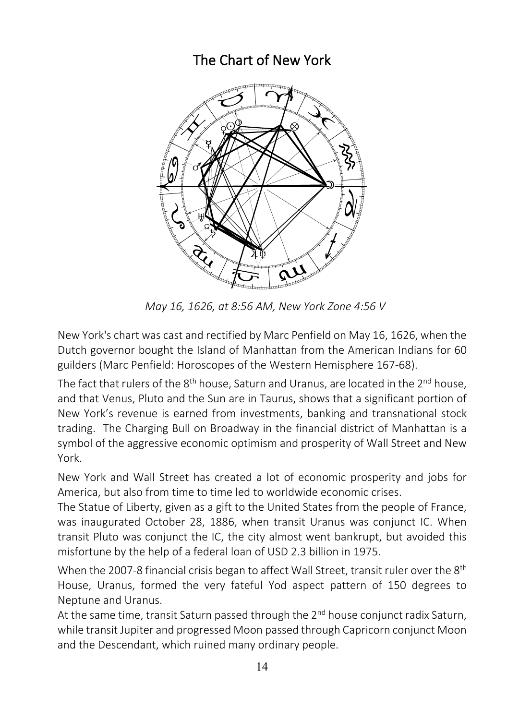### The Chart of New York



*May 16, 1626, at 8:56 AM, New York Zone 4:56 V*

New York's chart was cast and rectified by Marc Penfield on May 16, 1626, when the Dutch governor bought the Island of Manhattan from the American Indians for 60 guilders (Marc Penfield: Horoscopes of the Western Hemisphere 167-68).

The fact that rulers of the  $8<sup>th</sup>$  house, Saturn and Uranus, are located in the  $2<sup>nd</sup>$  house, and that Venus, Pluto and the Sun are in Taurus, shows that a significant portion of New York's revenue is earned from investments, banking and transnational stock trading. The Charging Bull on Broadway in the financial district of Manhattan is a symbol of the aggressive economic optimism and prosperity of Wall Street and New York.

New York and Wall Street has created a lot of economic prosperity and jobs for America, but also from time to time led to worldwide economic crises.

The Statue of Liberty, given as a gift to the United States from the people of France, was inaugurated October 28, 1886, when transit Uranus was conjunct IC. When transit Pluto was conjunct the IC, the city almost went bankrupt, but avoided this misfortune by the help of a federal loan of USD 2.3 billion in 1975.

When the 2007-8 financial crisis began to affect Wall Street, transit ruler over the  $8<sup>th</sup>$ House, Uranus, formed the very fateful Yod aspect pattern of 150 degrees to Neptune and Uranus.

At the same time, transit Saturn passed through the 2<sup>nd</sup> house conjunct radix Saturn, while transit Jupiter and progressed Moon passed through Capricorn conjunct Moon and the Descendant, which ruined many ordinary people.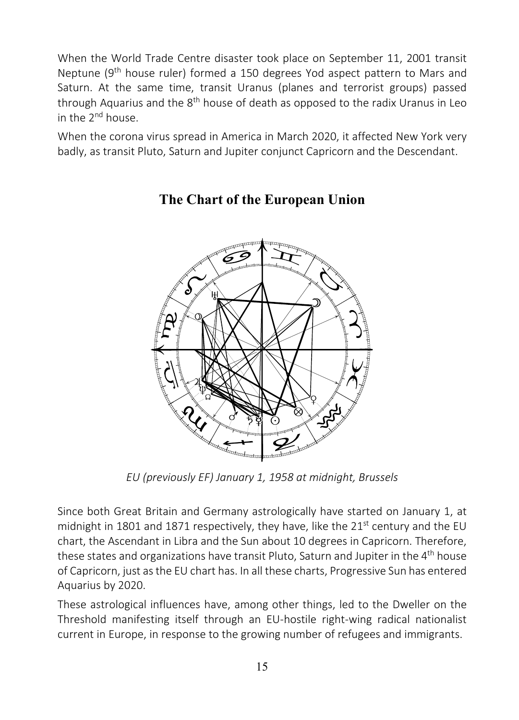When the World Trade Centre disaster took place on September 11, 2001 transit Neptune (9<sup>th</sup> house ruler) formed a 150 degrees Yod aspect pattern to Mars and Saturn. At the same time, transit Uranus (planes and terrorist groups) passed through Aquarius and the 8<sup>th</sup> house of death as opposed to the radix Uranus in Leo in the 2<sup>nd</sup> house.

When the corona virus spread in America in March 2020, it affected New York very badly, as transit Pluto, Saturn and Jupiter conjunct Capricorn and the Descendant.



### **The Chart of the European Union**

*EU (previously EF) January 1, 1958 at midnight, Brussels*

Since both Great Britain and Germany astrologically have started on January 1, at midnight in 1801 and 1871 respectively, they have, like the 21st century and the EU chart, the Ascendant in Libra and the Sun about 10 degrees in Capricorn. Therefore, these states and organizations have transit Pluto, Saturn and Jupiter in the 4<sup>th</sup> house of Capricorn, just as the EU chart has. In all these charts, Progressive Sun has entered Aquarius by 2020.

These astrological influences have, among other things, led to the Dweller on the Threshold manifesting itself through an EU-hostile right-wing radical nationalist current in Europe, in response to the growing number of refugees and immigrants.